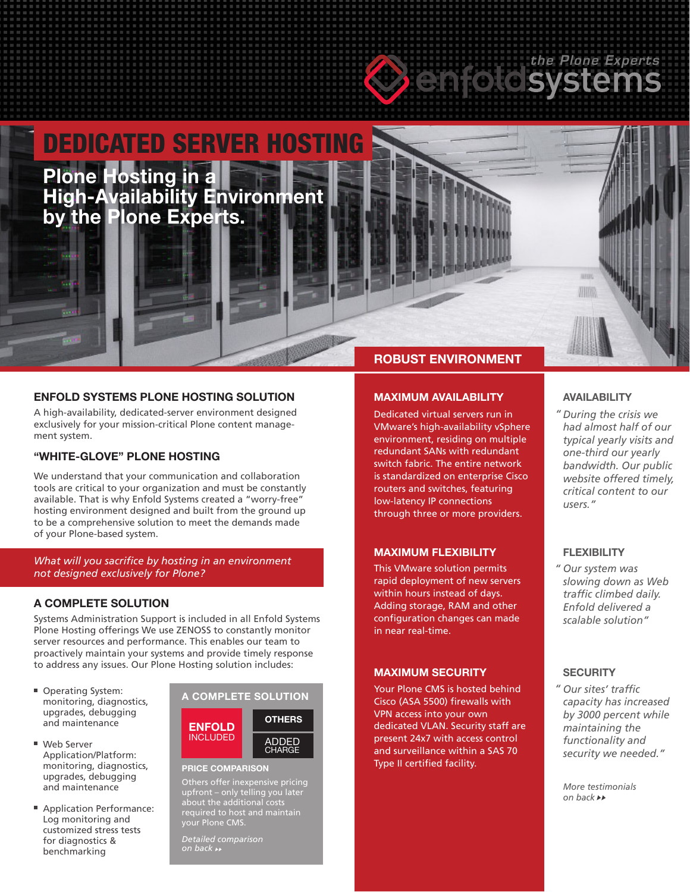# **Confold Systems**

# Plone Hosting in a  $\blacksquare=\blacksquare$  High-Availability Environment. As in High-Availability I DEDICATED SERVER HOSTING **Plone Hosting in a High-Availability Environment by the Plone Experts.**

# **ENFOLD SYSTEMS PLONE HOSTING SOLUTION**

A high-availability, dedicated-server environment designed exclusively for your mission-critical Plone content management system.

# **"WHITE-GLOVE" PLONE HOSTING**

We understand that your communication and collaboration tools are critical to your organization and must be constantly available. That is why Enfold Systems created a "worry-free" hosting environment designed and built from the ground up to be a comprehensive solution to meet the demands made of your Plone-based system.

*What will you sacrifice by hosting in an environment not designed exclusively for Plone?*

# **A COMPLETE SOLUTION**

Systems Administration Support is included in all Enfold Systems Plone Hosting offerings We use ZENOSS to constantly monitor server resources and performance. This enables our team to proactively maintain your systems and provide timely response to address any issues. Our Plone Hosting solution includes:

- Operating System: monitoring, diagnostics, upgrades, debugging and maintenance
- Web Server Application/Platform: monitoring, diagnostics, upgrades, debugging and maintenance
- Application Performance: Log monitoring and customized stress tests for diagnostics & benchmarking



#### **PRICE COMPARISON**

Others offer inexpensive pricing upfront – only telling you later about the additional costs required to host and maintain your Plone CMS.

*Detailed comparison* 

# **ROBUST ENVIRONMENT**

# **MAXIMUM AVAILABILITY**

Dedicated virtual servers run in VMware's high-availability vSphere environment, residing on multiple redundant SANs with redundant switch fabric. The entire network is standardized on enterprise Cisco routers and switches, featuring low-latency IP connections through three or more providers.

#### **MAXIMUM FLEXIBILITY**

This VMware solution permits rapid deployment of new servers within hours instead of days. Adding storage, RAM and other configuration changes can made in near real-time.

#### **MAXIMUM SECURITY**

Your Plone CMS is hosted behind Cisco (ASA 5500) firewalls with VPN access into your own dedicated VLAN. Security staff are present 24x7 with access control and surveillance within a SAS 70 Type II certified facility.

#### **AVAILABILITY**

**ABTR** 用顺

*During the crisis we " had almost half of our typical yearly visits and one-third our yearly bandwidth. Our public website offered timely, critical content to our users."*

# **FLEXIBILITY**

*Our system was " slowing down as Web traffic climbed daily. Enfold delivered a scalable solution"*

#### **SECURITY**

*Our sites' traffic "capacity has increased by 3000 percent while maintaining the functionality and security we needed."*

*More testimonials on back*